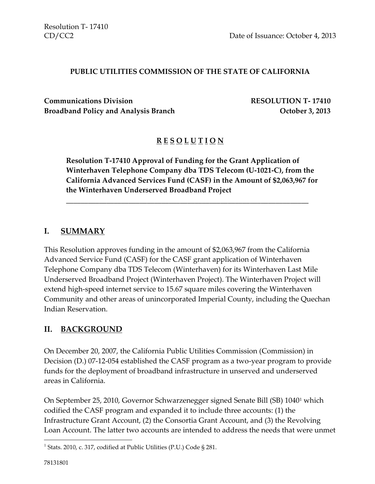#### **PUBLIC UTILITIES COMMISSION OF THE STATE OF CALIFORNIA**

**Communications Division RESOLUTION T- 17410 Broadband Policy and Analysis Branch Department Controller Analysis Branch Controller Analysis Branch Controller Analysis Branch Controller Analysis Branch Controller Analysis Branch Controller Analysis Branch Controller** 

#### **R E S O L U T I O N**

**Resolution T-17410 Approval of Funding for the Grant Application of Winterhaven Telephone Company dba TDS Telecom (U-1021-C), from the California Advanced Services Fund (CASF) in the Amount of \$2,063,967 for the Winterhaven Underserved Broadband Project**

\_\_\_\_\_\_\_\_\_\_\_\_\_\_\_\_\_\_\_\_\_\_\_\_\_\_\_\_\_\_\_\_\_\_\_\_\_\_\_\_\_\_\_\_\_\_\_\_\_\_\_\_\_\_\_\_\_\_\_\_\_\_\_\_\_\_

#### **I. SUMMARY**

This Resolution approves funding in the amount of \$2,063,967 from the California Advanced Service Fund (CASF) for the CASF grant application of Winterhaven Telephone Company dba TDS Telecom (Winterhaven) for its Winterhaven Last Mile Underserved Broadband Project (Winterhaven Project). The Winterhaven Project will extend high-speed internet service to 15.67 square miles covering the Winterhaven Community and other areas of unincorporated Imperial County, including the Quechan Indian Reservation.

#### **II. BACKGROUND**

On December 20, 2007, the California Public Utilities Commission (Commission) in Decision (D.) 07-12-054 established the CASF program as a two-year program to provide funds for the deployment of broadband infrastructure in unserved and underserved areas in California.

On September 25, 2010, Governor Schwarzenegger signed Senate Bill (SB) 1040<sup>1</sup> which codified the CASF program and expanded it to include three accounts: (1) the Infrastructure Grant Account, (2) the Consortia Grant Account, and (3) the Revolving Loan Account. The latter two accounts are intended to address the needs that were unmet

 $\overline{\phantom{a}}$ 

<sup>&</sup>lt;sup>1</sup> Stats. 2010, c. 317, codified at Public Utilities (P.U.) Code § 281.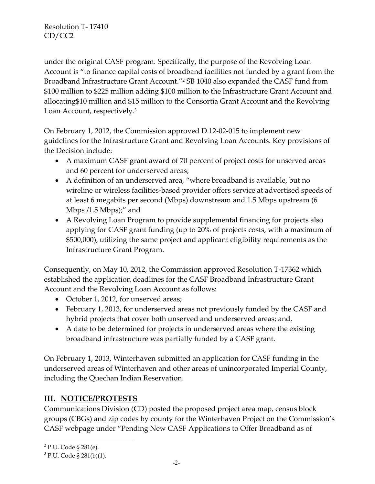under the original CASF program. Specifically, the purpose of the Revolving Loan Account is "to finance capital costs of broadband facilities not funded by a grant from the Broadband Infrastructure Grant Account."<sup>2</sup> SB 1040 also expanded the CASF fund from \$100 million to \$225 million adding \$100 million to the Infrastructure Grant Account and allocating\$10 million and \$15 million to the Consortia Grant Account and the Revolving Loan Account, respectively.<sup>3</sup>

On February 1, 2012, the Commission approved D.12-02-015 to implement new guidelines for the Infrastructure Grant and Revolving Loan Accounts. Key provisions of the Decision include:

- A maximum CASF grant award of 70 percent of project costs for unserved areas and 60 percent for underserved areas;
- A definition of an underserved area, "where broadband is available, but no wireline or wireless facilities-based provider offers service at advertised speeds of at least 6 megabits per second (Mbps) downstream and 1.5 Mbps upstream (6 Mbps /1.5 Mbps);" and
- A Revolving Loan Program to provide supplemental financing for projects also applying for CASF grant funding (up to 20% of projects costs, with a maximum of \$500,000), utilizing the same project and applicant eligibility requirements as the Infrastructure Grant Program.

Consequently, on May 10, 2012, the Commission approved Resolution T-17362 which established the application deadlines for the CASF Broadband Infrastructure Grant Account and the Revolving Loan Account as follows:

- October 1, 2012, for unserved areas;
- February 1, 2013, for underserved areas not previously funded by the CASF and hybrid projects that cover both unserved and underserved areas; and,
- A date to be determined for projects in underserved areas where the existing broadband infrastructure was partially funded by a CASF grant.

On February 1, 2013, Winterhaven submitted an application for CASF funding in the underserved areas of Winterhaven and other areas of unincorporated Imperial County, including the Quechan Indian Reservation.

# **III. NOTICE/PROTESTS**

Communications Division (CD) posted the proposed project area map, census block groups (CBGs) and zip codes by county for the Winterhaven Project on the Commission's CASF webpage under "Pending New CASF Applications to Offer Broadband as of

 $\overline{\phantom{a}}$ 

<sup>&</sup>lt;sup>2</sup> P.U. Code § 281(e).

 $3$  P.U. Code § 281(b)(1).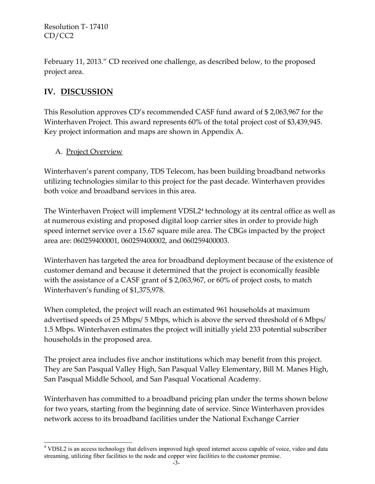February 11, 2013." CD received one challenge, as described below, to the proposed project area.

# **IV. DISCUSSION**

This Resolution approves CD's recommended CASF fund award of \$ 2,063,967 for the Winterhaven Project. This award represents 60% of the total project cost of \$3,439,945. Key project information and maps are shown in Appendix A.

#### A. Project Overview

Winterhaven's parent company, TDS Telecom, has been building broadband networks utilizing technologies similar to this project for the past decade. Winterhaven provides both voice and broadband services in this area.

The Winterhaven Project will implement VDSL2<sup>4</sup> technology at its central office as well as at numerous existing and proposed digital loop carrier sites in order to provide high speed internet service over a 15.67 square mile area. The CBGs impacted by the project area are: 060259400001, 060259400002, and 060259400003.

Winterhaven has targeted the area for broadband deployment because of the existence of customer demand and because it determined that the project is economically feasible with the assistance of a CASF grant of \$ 2,063,967, or 60% of project costs, to match Winterhaven's funding of \$1,375,978.

When completed, the project will reach an estimated 961 households at maximum advertised speeds of 25 Mbps/ 5 Mbps, which is above the served threshold of 6 Mbps/ 1.5 Mbps. Winterhaven estimates the project will initially yield 233 potential subscriber households in the proposed area.

The project area includes five anchor institutions which may benefit from this project. They are San Pasqual Valley High, San Pasqual Valley Elementary, Bill M. Manes High, San Pasqual Middle School, and San Pasqual Vocational Academy.

Winterhaven has committed to a broadband pricing plan under the terms shown below for two years, starting from the beginning date of service. Since Winterhaven provides network access to its broadband facilities under the National Exchange Carrier

 $\overline{\phantom{a}}$ <sup>4</sup> VDSL2 is an access technology that delivers improved high speed internet access capable of voice, video and data streaming, utilizing fiber facilities to the node and copper wire facilities to the customer premise.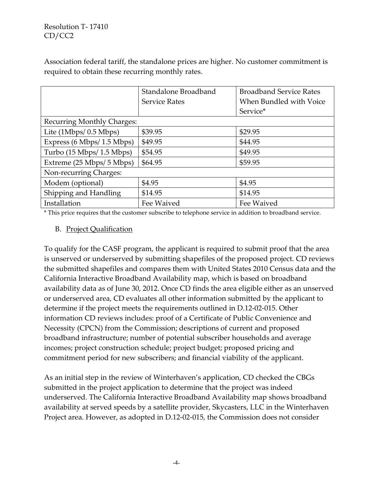Association federal tariff, the standalone prices are higher. No customer commitment is required to obtain these recurring monthly rates.

|                                             | Standalone Broadband | <b>Broadband Service Rates</b> |  |
|---------------------------------------------|----------------------|--------------------------------|--|
|                                             | <b>Service Rates</b> | When Bundled with Voice        |  |
|                                             |                      | Service*                       |  |
| <b>Recurring Monthly Charges:</b>           |                      |                                |  |
| Lite (1Mbps/ 0.5 Mbps)                      | \$39.95              | \$29.95                        |  |
| Express (6 Mbps/ 1.5 Mbps)                  | \$49.95              | \$44.95                        |  |
| Turbo $(15 \text{ Mbps}/ 1.5 \text{ Mbps})$ | \$54.95              | \$49.95                        |  |
| Extreme (25 Mbps/ 5 Mbps)                   | \$64.95              | \$59.95                        |  |
| Non-recurring Charges:                      |                      |                                |  |
| Modem (optional)                            | \$4.95               | \$4.95                         |  |
| Shipping and Handling                       | \$14.95              | \$14.95                        |  |
| Installation                                | Fee Waived           | Fee Waived                     |  |

\* This price requires that the customer subscribe to telephone service in addition to broadband service.

#### B. Project Qualification

To qualify for the CASF program, the applicant is required to submit proof that the area is unserved or underserved by submitting shapefiles of the proposed project. CD reviews the submitted shapefiles and compares them with United States 2010 Census data and the California Interactive Broadband Availability map, which is based on broadband availability data as of June 30, 2012. Once CD finds the area eligible either as an unserved or underserved area, CD evaluates all other information submitted by the applicant to determine if the project meets the requirements outlined in D.12-02-015. Other information CD reviews includes: proof of a Certificate of Public Convenience and Necessity (CPCN) from the Commission; descriptions of current and proposed broadband infrastructure; number of potential subscriber households and average incomes; project construction schedule; project budget; proposed pricing and commitment period for new subscribers; and financial viability of the applicant.

As an initial step in the review of Winterhaven's application, CD checked the CBGs submitted in the project application to determine that the project was indeed underserved. The California Interactive Broadband Availability map shows broadband availability at served speeds by a satellite provider, Skycasters, LLC in the Winterhaven Project area. However, as adopted in D.12-02-015, the Commission does not consider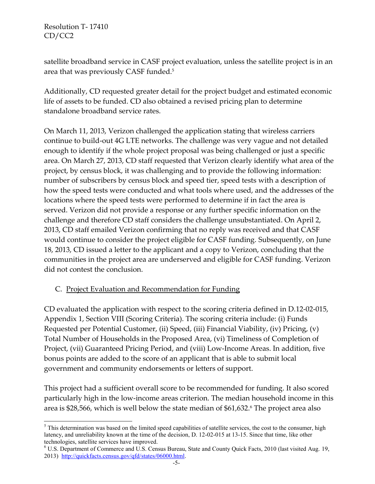l

satellite broadband service in CASF project evaluation, unless the satellite project is in an area that was previously CASF funded.<sup>5</sup>

Additionally, CD requested greater detail for the project budget and estimated economic life of assets to be funded. CD also obtained a revised pricing plan to determine standalone broadband service rates.

On March 11, 2013, Verizon challenged the application stating that wireless carriers continue to build-out 4G LTE networks. The challenge was very vague and not detailed enough to identify if the whole project proposal was being challenged or just a specific area. On March 27, 2013, CD staff requested that Verizon clearly identify what area of the project, by census block, it was challenging and to provide the following information: number of subscribers by census block and speed tier, speed tests with a description of how the speed tests were conducted and what tools where used, and the addresses of the locations where the speed tests were performed to determine if in fact the area is served. Verizon did not provide a response or any further specific information on the challenge and therefore CD staff considers the challenge unsubstantiated. On April 2, 2013, CD staff emailed Verizon confirming that no reply was received and that CASF would continue to consider the project eligible for CASF funding. Subsequently, on June 18, 2013, CD issued a letter to the applicant and a copy to Verizon, concluding that the communities in the project area are underserved and eligible for CASF funding. Verizon did not contest the conclusion.

#### C. Project Evaluation and Recommendation for Funding

CD evaluated the application with respect to the scoring criteria defined in D.12-02-015, Appendix 1, Section VIII (Scoring Criteria). The scoring criteria include: (i) Funds Requested per Potential Customer, (ii) Speed, (iii) Financial Viability, (iv) Pricing, (v) Total Number of Households in the Proposed Area, (vi) Timeliness of Completion of Project, (vii) Guaranteed Pricing Period, and (viii) Low-Income Areas. In addition, five bonus points are added to the score of an applicant that is able to submit local government and community endorsements or letters of support.

This project had a sufficient overall score to be recommended for funding. It also scored particularly high in the low-income areas criterion. The median household income in this area is \$28,566, which is well below the state median of \$61,632.<sup>6</sup> The project area also

<sup>&</sup>lt;sup>5</sup> This determination was based on the limited speed capabilities of satellite services, the cost to the consumer, high latency, and unreliability known at the time of the decision, D. 12-02-015 at 13-15. Since that time, like other technologies, satellite services have improved.

<sup>6</sup> U.S. Department of Commerce and U.S. Census Bureau, State and County Quick Facts, 2010 (last visited Aug. 19, 2013) [http://quickfacts.census.gov/qfd/states/06000.html.](http://quickfacts.census.gov/qfd/states/06000.html)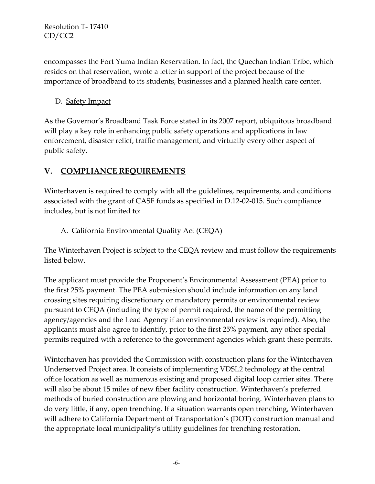encompasses the Fort Yuma Indian Reservation. In fact, the Quechan Indian Tribe, which resides on that reservation, wrote a letter in support of the project because of the importance of broadband to its students, businesses and a planned health care center.

#### D. Safety Impact

As the Governor's Broadband Task Force stated in its 2007 report, ubiquitous broadband will play a key role in enhancing public safety operations and applications in law enforcement, disaster relief, traffic management, and virtually every other aspect of public safety.

### **V. COMPLIANCE REQUIREMENTS**

Winterhaven is required to comply with all the guidelines, requirements, and conditions associated with the grant of CASF funds as specified in D.12-02-015. Such compliance includes, but is not limited to:

#### A. California Environmental Quality Act (CEQA)

The Winterhaven Project is subject to the CEQA review and must follow the requirements listed below.

The applicant must provide the Proponent's Environmental Assessment (PEA) prior to the first 25% payment. The PEA submission should include information on any land crossing sites requiring discretionary or mandatory permits or environmental review pursuant to CEQA (including the type of permit required, the name of the permitting agency/agencies and the Lead Agency if an environmental review is required). Also, the applicants must also agree to identify, prior to the first 25% payment, any other special permits required with a reference to the government agencies which grant these permits.

Winterhaven has provided the Commission with construction plans for the Winterhaven Underserved Project area. It consists of implementing VDSL2 technology at the central office location as well as numerous existing and proposed digital loop carrier sites. There will also be about 15 miles of new fiber facility construction. Winterhaven's preferred methods of buried construction are plowing and horizontal boring. Winterhaven plans to do very little, if any, open trenching. If a situation warrants open trenching, Winterhaven will adhere to California Department of Transportation's (DOT) construction manual and the appropriate local municipality's utility guidelines for trenching restoration.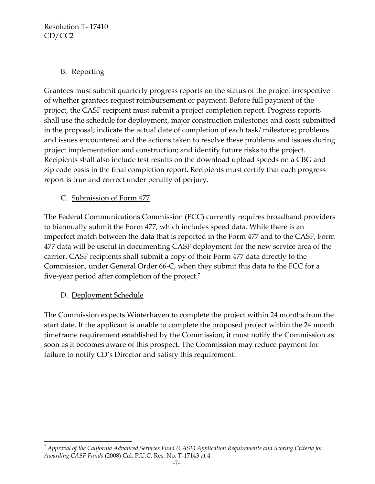#### B. Reporting

Grantees must submit quarterly progress reports on the status of the project irrespective of whether grantees request reimbursement or payment. Before full payment of the project, the CASF recipient must submit a project completion report. Progress reports shall use the schedule for deployment, major construction milestones and costs submitted in the proposal; indicate the actual date of completion of each task/ milestone; problems and issues encountered and the actions taken to resolve these problems and issues during project implementation and construction; and identify future risks to the project. Recipients shall also include test results on the download upload speeds on a CBG and zip code basis in the final completion report. Recipients must certify that each progress report is true and correct under penalty of perjury.

### C. Submission of Form 477

The Federal Communications Commission (FCC) currently requires broadband providers to biannually submit the Form 477, which includes speed data. While there is an imperfect match between the data that is reported in the Form 477 and to the CASF, Form 477 data will be useful in documenting CASF deployment for the new service area of the carrier. CASF recipients shall submit a copy of their Form 477 data directly to the Commission, under General Order 66-C, when they submit this data to the FCC for a five-year period after completion of the project.<sup>7</sup>

D. Deployment Schedule

l

The Commission expects Winterhaven to complete the project within 24 months from the start date. If the applicant is unable to complete the proposed project within the 24 month timeframe requirement established by the Commission, it must notify the Commission as soon as it becomes aware of this prospect. The Commission may reduce payment for failure to notify CD's Director and satisfy this requirement.

<sup>7</sup> *Approval of the California Advanced Services Fund (CASF) Application Requirements and Scoring Criteria for Awarding CASF Funds* (2008) Cal. P.U.C. Res. No. T-17143 at 4.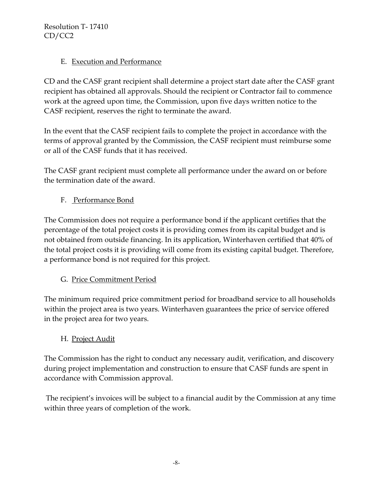#### E. Execution and Performance

CD and the CASF grant recipient shall determine a project start date after the CASF grant recipient has obtained all approvals. Should the recipient or Contractor fail to commence work at the agreed upon time, the Commission, upon five days written notice to the CASF recipient, reserves the right to terminate the award.

In the event that the CASF recipient fails to complete the project in accordance with the terms of approval granted by the Commission, the CASF recipient must reimburse some or all of the CASF funds that it has received.

The CASF grant recipient must complete all performance under the award on or before the termination date of the award.

### F. Performance Bond

The Commission does not require a performance bond if the applicant certifies that the percentage of the total project costs it is providing comes from its capital budget and is not obtained from outside financing. In its application, Winterhaven certified that 40% of the total project costs it is providing will come from its existing capital budget. Therefore, a performance bond is not required for this project.

#### G. Price Commitment Period

The minimum required price commitment period for broadband service to all households within the project area is two years. Winterhaven guarantees the price of service offered in the project area for two years.

#### H. Project Audit

The Commission has the right to conduct any necessary audit, verification, and discovery during project implementation and construction to ensure that CASF funds are spent in accordance with Commission approval.

The recipient's invoices will be subject to a financial audit by the Commission at any time within three years of completion of the work.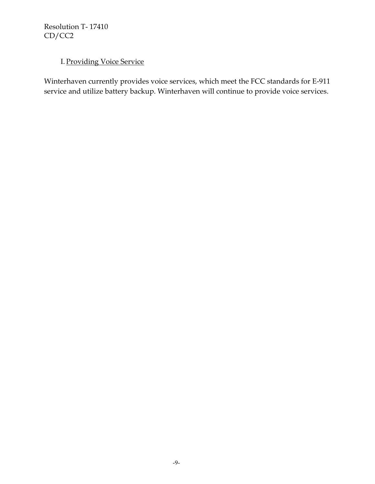# I. Providing Voice Service

Winterhaven currently provides voice services, which meet the FCC standards for E-911 service and utilize battery backup. Winterhaven will continue to provide voice services.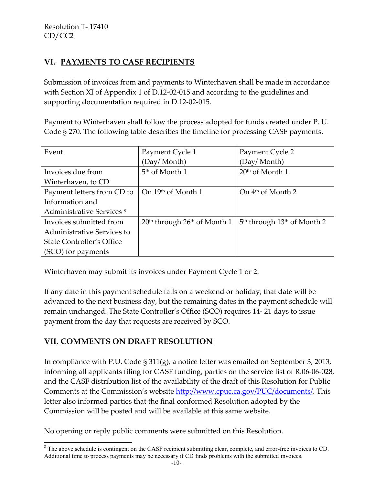# **VI. PAYMENTS TO CASF RECIPIENTS**

Submission of invoices from and payments to Winterhaven shall be made in accordance with Section XI of Appendix 1 of D.12-02-015 and according to the guidelines and supporting documentation required in D.12-02-015.

Payment to Winterhaven shall follow the process adopted for funds created under P. U. Code § 270. The following table describes the timeline for processing CASF payments.

| Event                                | Payment Cycle 1                  | Payment Cycle 2                 |
|--------------------------------------|----------------------------------|---------------------------------|
|                                      | (Day/Month)                      | (Day/Month)                     |
| Invoices due from                    | 5 <sup>th</sup> of Month 1       | $20th$ of Month 1               |
| Winterhaven, to CD                   |                                  |                                 |
| Payment letters from CD to           | On 19th of Month 1               | On 4 <sup>th</sup> of Month 2   |
| Information and                      |                                  |                                 |
| Administrative Services <sup>8</sup> |                                  |                                 |
| Invoices submitted from              | $20th$ through $26th$ of Month 1 | $5th$ through $13th$ of Month 2 |
| Administrative Services to           |                                  |                                 |
| State Controller's Office            |                                  |                                 |
| (SCO) for payments                   |                                  |                                 |

Winterhaven may submit its invoices under Payment Cycle 1 or 2.

If any date in this payment schedule falls on a weekend or holiday, that date will be advanced to the next business day, but the remaining dates in the payment schedule will remain unchanged. The State Controller's Office (SCO) requires 14- 21 days to issue payment from the day that requests are received by SCO.

# **VII. COMMENTS ON DRAFT RESOLUTION**

 $\overline{\phantom{a}}$ 

In compliance with P.U. Code § 311(g), a notice letter was emailed on September 3, 2013, informing all applicants filing for CASF funding, parties on the service list of R.06-06-028, and the CASF distribution list of the availability of the draft of this Resolution for Public Comments at the Commission's website [http://www.cpuc.ca.gov/PUC/documents/.](http://www.cpuc.ca.gov/PUC/documents/) This letter also informed parties that the final conformed Resolution adopted by the Commission will be posted and will be available at this same website.

No opening or reply public comments were submitted on this Resolution.

<sup>&</sup>lt;sup>8</sup> The above schedule is contingent on the CASF recipient submitting clear, complete, and error-free invoices to CD. Additional time to process payments may be necessary if CD finds problems with the submitted invoices.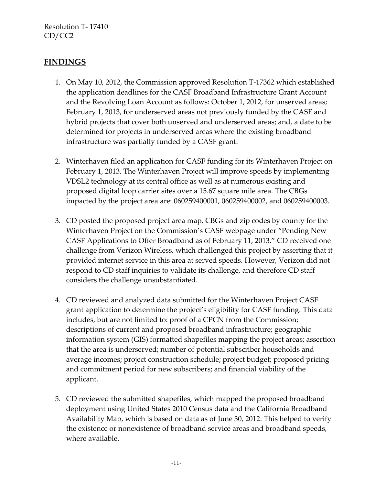#### **FINDINGS**

- 1. On May 10, 2012, the Commission approved Resolution T-17362 which established the application deadlines for the CASF Broadband Infrastructure Grant Account and the Revolving Loan Account as follows: October 1, 2012, for unserved areas; February 1, 2013, for underserved areas not previously funded by the CASF and hybrid projects that cover both unserved and underserved areas; and, a date to be determined for projects in underserved areas where the existing broadband infrastructure was partially funded by a CASF grant.
- 2. Winterhaven filed an application for CASF funding for its Winterhaven Project on February 1, 2013. The Winterhaven Project will improve speeds by implementing VDSL2 technology at its central office as well as at numerous existing and proposed digital loop carrier sites over a 15.67 square mile area. The CBGs impacted by the project area are: 060259400001, 060259400002, and 060259400003.
- 3. CD posted the proposed project area map, CBGs and zip codes by county for the Winterhaven Project on the Commission's CASF webpage under "Pending New CASF Applications to Offer Broadband as of February 11, 2013." CD received one challenge from Verizon Wireless, which challenged this project by asserting that it provided internet service in this area at served speeds. However, Verizon did not respond to CD staff inquiries to validate its challenge, and therefore CD staff considers the challenge unsubstantiated.
- 4. CD reviewed and analyzed data submitted for the Winterhaven Project CASF grant application to determine the project's eligibility for CASF funding. This data includes, but are not limited to: proof of a CPCN from the Commission; descriptions of current and proposed broadband infrastructure; geographic information system (GIS) formatted shapefiles mapping the project areas; assertion that the area is underserved; number of potential subscriber households and average incomes; project construction schedule; project budget; proposed pricing and commitment period for new subscribers; and financial viability of the applicant.
- 5. CD reviewed the submitted shapefiles, which mapped the proposed broadband deployment using United States 2010 Census data and the California Broadband Availability Map, which is based on data as of June 30, 2012. This helped to verify the existence or nonexistence of broadband service areas and broadband speeds, where available.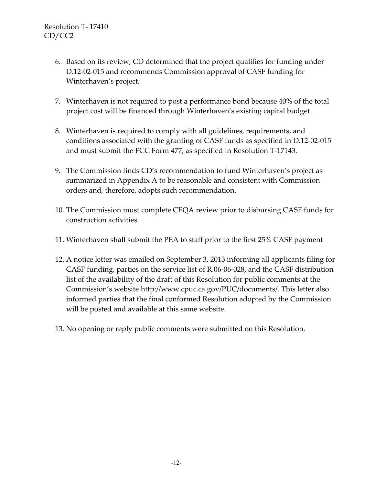- 6. Based on its review, CD determined that the project qualifies for funding under D.12-02-015 and recommends Commission approval of CASF funding for Winterhaven's project.
- 7. Winterhaven is not required to post a performance bond because 40% of the total project cost will be financed through Winterhaven's existing capital budget.
- 8. Winterhaven is required to comply with all guidelines, requirements, and conditions associated with the granting of CASF funds as specified in D.12-02-015 and must submit the FCC Form 477, as specified in Resolution T-17143.
- 9. The Commission finds CD's recommendation to fund Winterhaven's project as summarized in Appendix A to be reasonable and consistent with Commission orders and, therefore, adopts such recommendation.
- 10. The Commission must complete CEQA review prior to disbursing CASF funds for construction activities.
- 11. Winterhaven shall submit the PEA to staff prior to the first 25% CASF payment
- 12. A notice letter was emailed on September 3, 2013 informing all applicants filing for CASF funding, parties on the service list of R.06-06-028, and the CASF distribution list of the availability of the draft of this Resolution for public comments at the Commission's website [http://www.cpuc.ca.gov/PUC/documents/.](http://www.cpuc.ca.gov/PUC/documents/) This letter also informed parties that the final conformed Resolution adopted by the Commission will be posted and available at this same website.
- 13. No opening or reply public comments were submitted on this Resolution.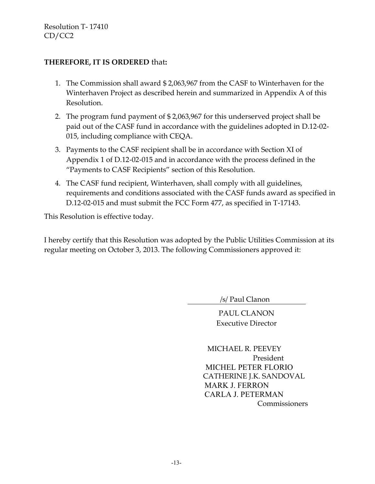#### **THEREFORE, IT IS ORDERED** that**:**

- 1. The Commission shall award \$ 2,063,967 from the CASF to Winterhaven for the Winterhaven Project as described herein and summarized in Appendix A of this Resolution.
- 2. The program fund payment of \$ 2,063,967 for this underserved project shall be paid out of the CASF fund in accordance with the guidelines adopted in D.12-02- 015, including compliance with CEQA.
- 3. Payments to the CASF recipient shall be in accordance with Section XI of Appendix 1 of D.12-02-015 and in accordance with the process defined in the "Payments to CASF Recipients" section of this Resolution.
- 4. The CASF fund recipient, Winterhaven, shall comply with all guidelines, requirements and conditions associated with the CASF funds award as specified in D.12-02-015 and must submit the FCC Form 477, as specified in T-17143.

This Resolution is effective today.

I hereby certify that this Resolution was adopted by the Public Utilities Commission at its regular meeting on October 3, 2013. The following Commissioners approved it:

/s/ Paul Clanon

PAUL CLANON Executive Director

 MICHAEL R. PEEVEY President MICHEL PETER FLORIO CATHERINE J.K. SANDOVAL MARK J. FERRON CARLA J. PETERMAN **Commissioners**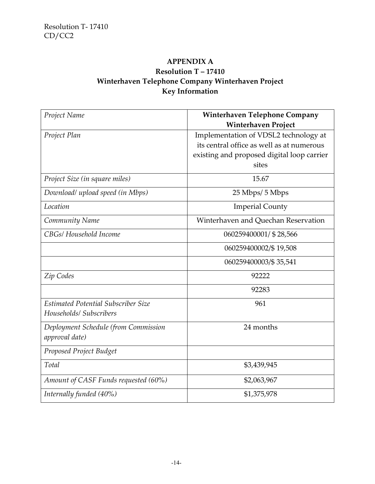# **APPENDIX A Resolution T – 17410 Winterhaven Telephone Company Winterhaven Project Key Information**

| Project Name                         | <b>Winterhaven Telephone Company</b>       |
|--------------------------------------|--------------------------------------------|
|                                      | <b>Winterhaven Project</b>                 |
| Project Plan                         | Implementation of VDSL2 technology at      |
|                                      | its central office as well as at numerous  |
|                                      | existing and proposed digital loop carrier |
|                                      | sites                                      |
| Project Size (in square miles)       | 15.67                                      |
| Download/ upload speed (in Mbps)     | 25 Mbps/ 5 Mbps                            |
| Location                             | <b>Imperial County</b>                     |
| Community Name                       | Winterhaven and Quechan Reservation        |
| CBGs/ Household Income               | 060259400001/ \$28,566                     |
|                                      | 060259400002/\$19,508                      |
|                                      | 060259400003/\$35,541                      |
| Zip Codes                            | 92222                                      |
|                                      | 92283                                      |
| Estimated Potential Subscriber Size  | 961                                        |
| Households/ Subscribers              |                                            |
| Deployment Schedule (from Commission | 24 months                                  |
| approval date)                       |                                            |
| Proposed Project Budget              |                                            |
| Total                                | \$3,439,945                                |
| Amount of CASF Funds requested (60%) | \$2,063,967                                |
| Internally funded $(40\%)$           | \$1,375,978                                |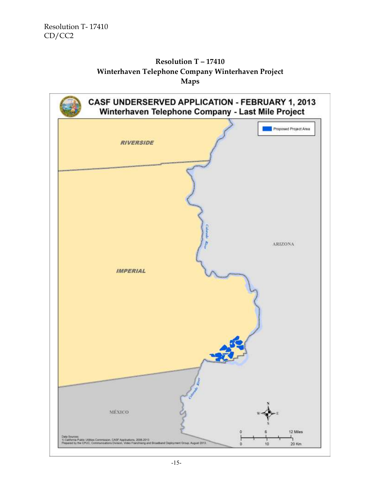### **Resolution T – 17410 Winterhaven Telephone Company Winterhaven Project Maps**